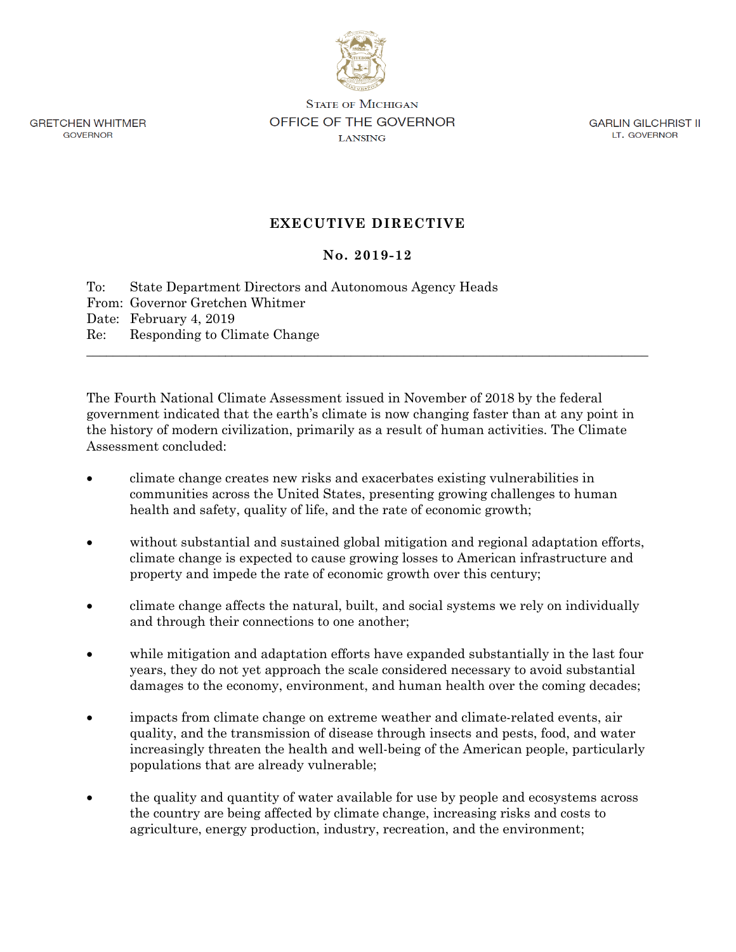

**GRETCHEN WHITMER** GOVERNOR

**STATE OF MICHIGAN** OFFICE OF THE GOVERNOR LANSING

**GARLIN GILCHRIST II** LT. GOVERNOR

## **EXECUTIVE DIRECTIVE**

## **No. 2019-12**

To: State Department Directors and Autonomous Agency Heads From: Governor Gretchen Whitmer Date: February 4, 2019 Re: Responding to Climate Change \_\_\_\_\_\_\_\_\_\_\_\_\_\_\_\_\_\_\_\_\_\_\_\_\_\_\_\_\_\_\_\_\_\_\_\_\_\_\_\_\_\_\_\_\_\_\_\_\_\_\_\_\_\_\_\_\_\_\_\_\_\_\_\_\_\_\_\_\_\_\_\_\_\_\_\_\_\_\_\_\_\_\_\_\_

The Fourth National Climate Assessment issued in November of 2018 by the federal government indicated that the earth's climate is now changing faster than at any point in the history of modern civilization, primarily as a result of human activities. The Climate Assessment concluded:

- climate change creates new risks and exacerbates existing vulnerabilities in communities across the United States, presenting growing challenges to human health and safety, quality of life, and the rate of economic growth;
- without substantial and sustained global mitigation and regional adaptation efforts, climate change is expected to cause growing losses to American infrastructure and property and impede the rate of economic growth over this century;
- climate change affects the natural, built, and social systems we rely on individually and through their connections to one another;
- while mitigation and adaptation efforts have expanded substantially in the last four years, they do not yet approach the scale considered necessary to avoid substantial damages to the economy, environment, and human health over the coming decades;
- impacts from climate change on extreme weather and climate-related events, air quality, and the transmission of disease through insects and pests, food, and water increasingly threaten the health and well-being of the American people, particularly populations that are already vulnerable;
- the quality and quantity of water available for use by people and ecosystems across the country are being affected by climate change, increasing risks and costs to agriculture, energy production, industry, recreation, and the environment;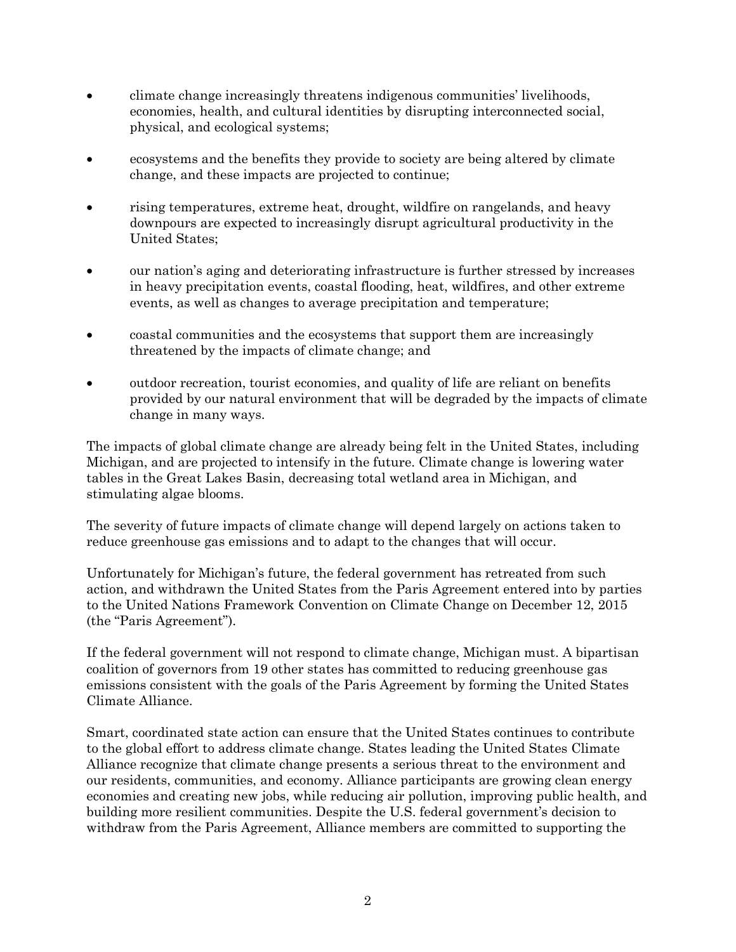- climate change increasingly threatens indigenous communities' livelihoods, economies, health, and cultural identities by disrupting interconnected social, physical, and ecological systems;
- ecosystems and the benefits they provide to society are being altered by climate change, and these impacts are projected to continue;
- rising temperatures, extreme heat, drought, wildfire on rangelands, and heavy downpours are expected to increasingly disrupt agricultural productivity in the United States;
- our nation's aging and deteriorating infrastructure is further stressed by increases in heavy precipitation events, coastal flooding, heat, wildfires, and other extreme events, as well as changes to average precipitation and temperature;
- coastal communities and the ecosystems that support them are increasingly threatened by the impacts of climate change; and
- outdoor recreation, tourist economies, and quality of life are reliant on benefits provided by our natural environment that will be degraded by the impacts of climate change in many ways.

The impacts of global climate change are already being felt in the United States, including Michigan, and are projected to intensify in the future. Climate change is lowering water tables in the Great Lakes Basin, decreasing total wetland area in Michigan, and stimulating algae blooms.

The severity of future impacts of climate change will depend largely on actions taken to reduce greenhouse gas emissions and to adapt to the changes that will occur.

Unfortunately for Michigan's future, the federal government has retreated from such action, and withdrawn the United States from the Paris Agreement entered into by parties to the United Nations Framework Convention on Climate Change on December 12, 2015 (the "Paris Agreement").

If the federal government will not respond to climate change, Michigan must. A bipartisan coalition of governors from 19 other states has committed to reducing greenhouse gas emissions consistent with the goals of the Paris Agreement by forming the United States Climate Alliance.

Smart, coordinated state action can ensure that the United States continues to contribute to the global effort to address climate change. States leading the United States Climate Alliance recognize that climate change presents a serious threat to the environment and our residents, communities, and economy. Alliance participants are growing clean energy economies and creating new jobs, while reducing air pollution, improving public health, and building more resilient communities. Despite the U.S. federal government's decision to withdraw from the Paris Agreement, Alliance members are committed to supporting the